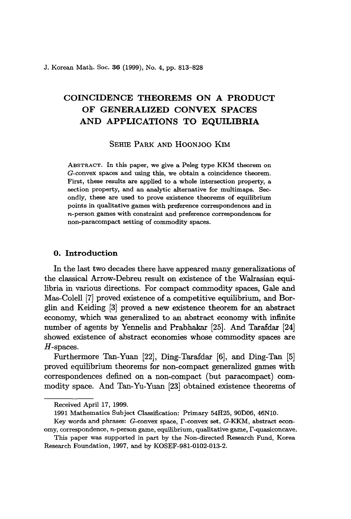J. Korean Math. Soc. 36 (1999), No. 4, pp. 813-828

# COINCIDENCE THEOREMS ON A PRODUCT OF GENERALIZED CONVEX SPACES AND APPLICATIONS TO EQUILIBRIA

SEHIE PARK AND HOONJOO KIM

ABSTRACT. In this paper, we give a Peleg type KKM theorem on G-convex spaces and using this, we obtain a coincidence theorem. First, these results are applied to a whole intersection property, a section property, and an analytic alternative for multimaps. Secondly, these are used to prove existence theorems of equilibrium points in qualitative games with preference correspondences and in n-person games with constraint and preference correspondences for non-paracompact setting of commodity spaces.

## o. Introduction

In the last two decades there have appeared many generalizations of the classical Arrow-Debreu result on existence of the Walrasian equilibria in various directions. For compact commodity spaces, Gale and Mas-Colell [7] proved existence of a competitive equilibrium, and Borglin and Keiding [3J proved a new existence theorem for an abstract economy, which was generalized to an abstract economy with infinite number of agents by Yennelis and Prabhakar [25]. And Tarafdar [24] showed existence of abstract economies whose commodity spaces are H-spaces.

Furthermore Tan-Yuan [22], Ding-Tarafdar [6], and Ding-Tan [5] proved equilibrium theorems for non-compact generalized games with correspondences defined on a non-compact (but paracompact) commodity space. And Tan-Yu-Yuan [23] obtained existence theorems of

Received April 17, 1999.

<sup>1991</sup> Mathematics Subject Classification: Primary 54H25, 90D06, 46NlO.

Key words and phrases: G-convex space,  $\Gamma$ -convex set, G-KKM, abstract economy, correspondence,  $n$ -person game, equilibrium, qualitative game,  $\Gamma$ -quasiconcave.

This paper was supported in part by the Non-directed Research Fund, Korea Research Foundation, 1997, and by KOSEF-981-0102-013-2.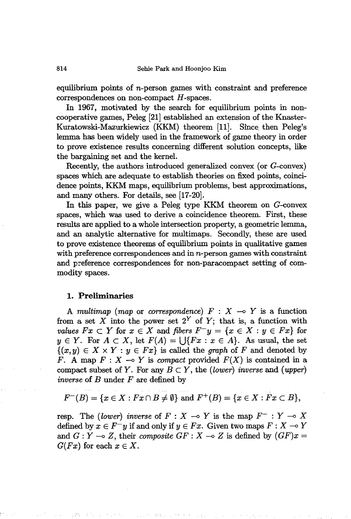equilibrium points of  $n$ -person games with constraint and preference  $correspondences on non-compact H-spaces.$ 

In 1967, motivated by the search for equilibrium points in noncooperative games, Peleg [21] established an extension of the Knaster-Kuratowski-Mazurkiewicz (KKM) theorem [11]. Since. then Peleg's lemma has been widely used in the framework of game theory in order to prove existence results concerning different solution concepts, like the bargaining set and the kernel.

Recently, the authors introduced generalized convex (or G-convex) spaces which are adequate to establish theories on fixed points, coincidence points, KKM maps, equilibrium problems, best approximations, and many others. For details, see [17-20].

In this paper, we give a Peleg type KKM theorem on G-convex spaces, which was used to derive a coincidence theorem. First, these results are applied to a whole intersection property, a geometric lemma, and an analytic alternative for multimaps. Secondly, these are used to prove existence theorems of equilibrium points in qualitative games with preference correspondences and in  $n$ -person games with constraint and preference correspondences for non-paracompact setting of commodity spaces.

#### **1. Preliminaries**

A *multimap* (*map* or *correspondence*)  $F : X \rightarrow Y$  is a function from a set X into the power set  $2^Y$  of Y; that is, a function with *values*  $Fx \subset Y$  for  $x \in X$  and *fibers*  $F^{-}y = \{x \in X : y \in Fx\}$  for  $y \in Y$ . For  $A \subset X$ , let  $F(A) = \bigcup \{Fx : x \in A\}$ . As usual, the set  $\{(x,y) \in X \times Y : y \in Fx\}$  is called the *graph* of *F* and denoted by *F.* A map  $F: X \rightarrow Y$  is *compact* provided  $F(X)$  is contained in a compact subset of *Y*. For any  $B \subset Y$ , the *(lower) inverse* and *(upper) inverse* of *B* under *F* are defined by

$$
F^{-}(B) = \{x \in X : Fx \cap B \neq \emptyset\} \text{ and } F^{+}(B) = \{x \in X : Fx \subset B\},\
$$

resp. The *(lower) inverse* of  $F: X \rightarrow Y$  is the map  $F^-: Y \rightarrow X$ defined by  $x \in F^{-}y$  if and only if  $y \in Fx$ . Given two maps  $F: X \to Y$ and  $G: Y \to Z$ , their *composite*  $GF: X \to Z$  is defined by  $(GF)x =$  $G(Fx)$  for each  $x \in X$ .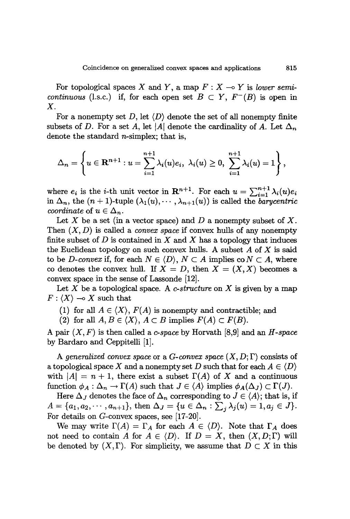For topological spaces X and Y, a map  $F: X \to Y$  is *lower semicontinuous* (l.s.c.) if, for each open set  $B \subset Y$ ,  $F^{-}(B)$  is open in X.

For a nonempty set D, let  $\langle D \rangle$  denote the set of all nonempty finite subsets of D. For a set A, let |A| denote the cardinality of A. Let  $\Delta_n$ denote the standard n-simplex; that is,

$$
\Delta_n=\left\{u\in\mathbf{R}^{n+1}: u=\sum_{i=1}^{n+1}\lambda_i(u)e_i, \; \lambda_i(u)\geq 0, \; \sum_{i=1}^{n+1}\lambda_i(u)=1\right\},
$$

where  $e_i$  is the *i*-th unit vector in  $\mathbf{R}^{n+1}$ . For each  $u = \sum_{i=1}^{n+1} \lambda_i(u)e_i$ in  $\Delta_n$ , the  $(n+1)$ -tuple  $(\lambda_1(u),\cdots,\lambda_{n+1}(u))$  is called the *barycentric coordinate* of  $u \in \Delta_n$ .

Let X be a set (in a vector space) and D a nonempty subset of X. Then  $(X, D)$  is called a *convex space* if convex hulls of any nonempty finite subset of  $D$  is contained in  $X$  and  $X$  has a topology that induces the Euclidean topology on such convex hulls. A subset  $A$  of  $X$  is said to be *D*-convex if, for each  $N \in \langle D \rangle$ ,  $N \subset A$  implies  $\text{co } N \subset A$ , where co denotes the convex hull. If  $X = D$ , then  $X = (X, X)$  becomes a convex space in the sense of Lassonde (12].

Let *X* be a topological space. A *c-structure* on *X* is given by a map  $F: \langle X \rangle \longrightarrow X$  such that

(1) for all  $A \in \langle X \rangle$ ,  $F(A)$  is nonempty and contractible; and

(2) for all  $A, B \in \langle X \rangle$ ,  $A \subset B$  implies  $F(A) \subset F(B)$ .

A pair *(X, F)* is then called a *c-space* by Horvath (8,9] and an *H-space* by Bardaro and Ceppitelli (1].

A *generalized convex space* or a *G-convex space*  $(X, D; \Gamma)$  consists of a topological space X and a nonempty set D such that for each  $A \in \langle D \rangle$ with  $|A| = n + 1$ , there exist a subset  $\Gamma(A)$  of X and a continuous function  $\phi_A : \Delta_n \to \Gamma(A)$  such that  $J \in \langle A \rangle$  implies  $\phi_A(\Delta_J) \subset \Gamma(J)$ .

Here  $\Delta_J$  denotes the face of  $\Delta_n$  corresponding to  $J \in \langle A \rangle$ ; that is, if  $A = \{a_1, a_2, \dots, a_{n+1}\},\$  then  $\Delta_J = \{u \in \Delta_n : \sum_j \lambda_j(u) = 1, a_j \in J\}.$ For details on G-convex spaces, see [17-20].

We may write  $\Gamma(A) = \Gamma_A$  for each  $A \in \langle D \rangle$ . Note that  $\Gamma_A$  does not need to contain A for  $A \in \langle D \rangle$ . If  $D = X$ , then  $(X, D; \Gamma)$  will be denoted by  $(X,\Gamma)$ . For simplicity, we assume that  $D \subset X$  in this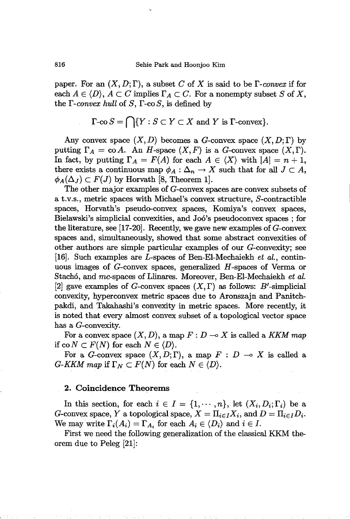paper. For an  $(X, D; \Gamma)$ , a subset C of X is said to be  $\Gamma$ -convex if for each  $A \in \langle D \rangle$ ,  $A \subset C$  implies  $\Gamma_A \subset C$ . For a nonempty subset *S* of *X*, the  $\Gamma$ -convex hull of  $S$ ,  $\Gamma$ -co $S$ , is defined by

$$
\Gamma\text{-co } S = \bigcap \{ Y : S \subset Y \subset X \text{ and } Y \text{ is } \Gamma\text{-convex} \}.
$$

Any convex space  $(X, D)$  becomes a G-convex space  $(X, D; \Gamma)$  by putting  $\Gamma_A = \text{co } A$ . An H-space  $(X, F)$  is a G-convex space  $(X, \Gamma)$ . In fact, by putting  $\Gamma_A = F(A)$  for each  $A \in \langle X \rangle$  with  $|A| = n + 1$ , there exists a continuous map  $\phi_A : \Delta_n \to X$  such that for all  $J \subset A$ ,  $\phi_A(\Delta_J) \subset F(J)$  by Horvath [8, Theorem 1].

The other major examples of G-convex spaces are convex subsets of a t.v.s., metric spaces with Michael's convex structure, S-contractible spaces, Horvath's pseudo-convex spaces, Komiya's convex spaces, Bielawski's simplicial convexities, and J06's pseudoconvex spaces; for the literature, see [17-20]. Recently, we gave new examples of  $G$ -convex spaces and, simultaneously, showed that some abstract convexities of other authors are simple particular examples of our G-convexity; see [16]. Such examples are L-spaces of Ben-EI-Mechaiekh *et al.,* continuous images of G-convex spaces, generalized H-spaces of Verma or Stach6, and mc-spaces of Llinares. Moreover, Ben-EI-Mechaiekh *et al.* [2] gave examples of G-convex spaces  $(X,\Gamma)$  as follows: B'-simplicial convexity, hyperconvex metric spaces due to Aronszajn and Panitchpakdi, and Takahashi's convexity in metric spaces. More recently, it is noted that every almost convex subset of a topological vector space has a G-convexity.

For a convex space  $(X, D)$ , a map  $F: D \longrightarrow X$  is called a KKM map if  $\text{co } N \subset F(N)$  for each  $N \in \langle D \rangle$ .

For a G-convex space  $(X, D; \Gamma)$ , a map  $F : D \multimap X$  is called a  $G-KKM$  map if  $\Gamma_N \subset F(N)$  for each  $N \in \langle D \rangle$ .

#### 2. Coincidence.Theorems

In this section, for each  $i \in I = \{1, \dots, n\}$ , let  $(X_i, D_i; \Gamma_i)$  be a G-convex space, *Y* a topological space,  $X = \prod_{i \in I} X_i$ , and  $D = \prod_{i \in I} D_i$ . We may write  $\Gamma_i(A_i) = \Gamma_{A_i}$  for each  $A_i \in \langle D_i \rangle$  and  $i \in I$ .

First we need the following generalization of the classical KKM theorem due to Peleg [21]: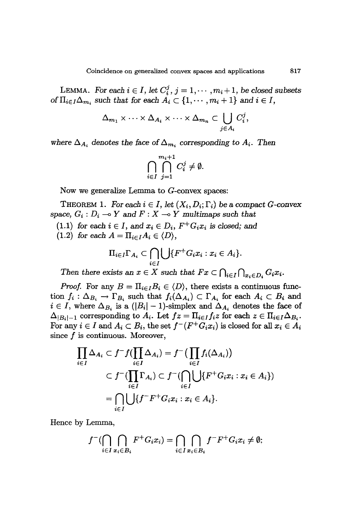LEMMA. For each  $i \in I$ , let  $C_i^j$ ,  $j = 1, \dots, m_i + 1$ , be closed subsets of  $\Pi_{i\in I}\Delta_{m_i}$  such that for each  $A_i\subset\{1,\cdots,m_i+1\}$  and  $i\in I$ ,

$$
\Delta_{m_1} \times \cdots \times \Delta_{A_i} \times \cdots \times \Delta_{m_n} \subset \bigcup_{j \in A_i} C_i^j,
$$

where  $\Delta_{A_i}$  denotes the face of  $\Delta_{m_i}$  corresponding to  $A_i$ . Then

$$
\bigcap_{i\in I}\bigcap_{j=1}^{m_i+1}C_i^j\neq\emptyset.
$$

Now we generalize Lemma to G-convex spaces:

THEOREM 1. For each  $i \in I$ , let  $(X_i, D_i; \Gamma_i)$  be a compact G-convex space,  $G_i$ :  $D_i \rightarrow Y$  and  $F: X \rightarrow Y$  *multimaps* such that

 $(1.1)$  *for each*  $i \in I$ *,* and  $x_i \in D_i$ *,*  $F^+G_i x_i$  *is closed;* and

 $(1.2)$  *for each*  $A = \prod_{i \in I} A_i \in \langle D \rangle$ ,

$$
\Pi_{i\in I}\Gamma_{A_i}\subset \bigcap_{i\in I}\bigcup\{F^+G_ix_i:x_i\in A_i\}.
$$

*Then there exists* an  $x \in X$  *such that*  $Fx \subset \bigcap_{i \in I} \bigcap_{x \in D_i} G_i x_i$ .

*Proof.* For any  $B = \prod_{i \in I} B_i \in \langle D \rangle$ , there exists a continuous function  $f_i : \Delta_{B_i} \to \Gamma_{B_i}$  such that  $f_i(\Delta_{A_i}) \subset \Gamma_{A_i}$  for each  $A_i \subset B_i$  and  $i \in I$ , where  $\Delta_{B_i}$  is a  $(|B_i| - 1)$ -simplex and  $\Delta_{A_i}$  denotes the face of  $\Delta_{|B_i|-1}$  corresponding to  $A_i$ . Let  $fz = \prod_{i \in I} f_i z$  for each  $z \in \prod_{i \in I} \Delta_{B_i}$ . For any  $i \in I$  and  $A_i \subset B_i$ , the set  $f^{-}(F^{+}G_i x_i)$  is closed for all  $x_i \in A_i$ since  $f$  is continuous. Moreover,

$$
\prod_{i \in I} \Delta_{A_i} \subset f^- f(\prod_{i \in I} \Delta_{A_i}) = f^- \left( \prod_{i \in I} f_i(\Delta_{A_i}) \right)
$$
\n
$$
\subset f^- (\prod_{i \in I} \Gamma_{A_i}) \subset f^- (\bigcap_{i \in I} \bigcup \{ F^+ G_i x_i : x_i \in A_i \})
$$
\n
$$
= \bigcap_{i \in I} \bigcup \{ f^- F^+ G_i x_i : x_i \in A_i \}.
$$

Hence by Lemma,

$$
f^{-}(\bigcap_{i\in I}\bigcap_{x_i\in B_i}F^{+}G_ix_i)=\bigcap_{i\in I}\bigcap_{x_i\in B_i}f^{-}F^{+}G_ix_i\neq\emptyset;
$$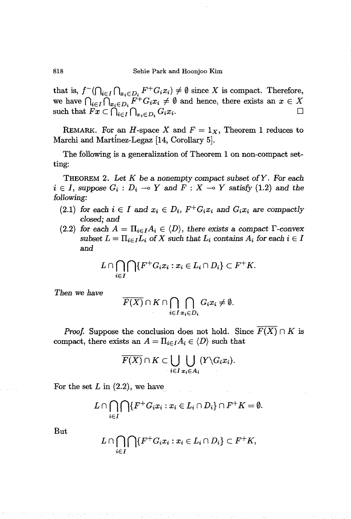that is,  $f^{-}(\bigcap_{i\in I}\bigcap_{x_i\in D_i}F^{+}G_ix_i)\neq\emptyset$  since X is compact. Therefore, we have  $\bigcap_{i\in I} \overline{\bigcap}_{x_i\in D_i} \overline{F^+}G_i x_i \neq \emptyset$  and hence, there exists an  $x \in X$ <br>such that  $Fx \subset \bigcap_{i\in I} \bigcap_{x_i\in D_i} G_i x_i$ . such that  $Fx \subset \bigcap_{i\in I}\bigcap_{x_i\in D_i}G_ix_i$ .

REMARK. For an *H*-space *X* and  $F = 1_X$ , Theorem 1 reduces to Marchi and Martinez-Legaz [14, Corollary 5].

The following is a generalization of Theorem 1 on non-compact setting:

THEOREM 2. Let *K* be a *nonempty* compact *subset ofY. For each*  $i \in I$ , suppose  $G_i : D_i \to Y$  and  $F : X \to Y$  satisfy (1.2) and the *following:*

- (2.1) *for* each  $i \in I$  and  $x_i \in D_i$ ,  $F^+G_i x_i$  and  $G_i x_i$  are *compactly closed;* and
- (2.2) for each  $A = \prod_{i \in I} A_i \in \langle D \rangle$ , there exists a compact  $\Gamma$ -convex subset  $L = \prod_{i \in I} L_i$  of X such that  $L_i$  contains  $A_i$  for each  $i \in I$ and

$$
L\cap \bigcap_{i\in I}\bigcap\{F^+G_ix_i:x_i\in L_i\cap D_i\}\subset F^+K.
$$

*Then we have*

$$
\overline{F(X)} \cap K \cap \bigcap_{i \in I} \bigcap_{x_i \in D_i} G_i x_i \neq \emptyset.
$$

*Proof.* Suppose the conclusion does not hold. Since  $\overline{F}(X) \cap K$  is compact, there exists an  $A = \prod_{i \in I} A_i \in \langle D \rangle$  such that

$$
\overline{F(X)} \cap K \subset \bigcup_{i \in I} \bigcup_{x_i \in A_i} (Y \backslash G_i x_i).
$$

For the set  $L$  in  $(2.2)$ , we have

$$
L\cap \bigcap_{i\in I}\bigcap\{F^+G_ix_i:x_i\in L_i\cap D_i\}\cap F^+K=\emptyset.
$$

But

$$
L\cap \bigcap_{i\in I}\bigcap\{F^+G_ix_i:x_i\in L_i\cap D_i\}\subset F^+K,
$$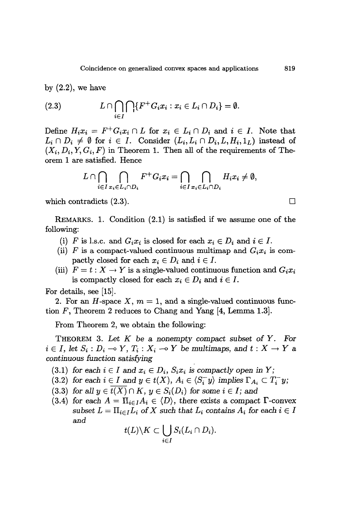by  $(2.2)$ , we have

(2.3) 
$$
L \cap \bigcap_{i \in I} \bigcap \{F^+G_i x_i : x_i \in L_i \cap D_i\} = \emptyset.
$$

Define  $H_i x_i = F^+ G_i x_i \cap L$  for  $x_i \in L_i \cap D_i$  and  $i \in I$ . Note that  $L_i \cap D_i \neq \emptyset$  for  $i \in I$ . Consider  $(L_i, L_i \cap D_i, L, H_i, 1_L)$  instead of  $(X_i, D_i, Y, G_i, F)$  in Theorem 1. Then all of the requirements of Theorem 1 are satisfied. Hence

$$
L\cap \bigcap_{i\in I}\bigcap_{x_i\in L_i\cap D_i}F^+G_ix_i=\bigcap_{i\in I}\bigcap_{x_i\in L_i\cap D_i}H_ix_i\neq\emptyset,
$$

which contradicts  $(2.3)$ .

REMARKS. 1. Condition (2.1) is satisfied if we assume one of the following:

- (i) F is l.s.c. and  $G_i x_i$  is closed for each  $x_i \in D_i$  and  $i \in I$ .
- (ii) *F* is a compact-valued continuous multimap and  $G_i x_i$  is compactly closed for each  $x_i \in D_i$  and  $i \in I$ .
- (iii)  $F = t : X \to Y$  is a single-valued continuous function and  $G_i x_i$ is compactly closed for each  $x_i \in D_i$  and  $i \in I$ .

For details, see [15].

2. For an H-space X,  $m = 1$ , and a single-valued continuous function F, Theorem 2 reduces to Chang and Yang [4, Lemma 1.3].

From Theorem 2, we obtain the following:

THEOREM 3. *Let K* be a *nonempty* compact *subset* of *Y.* For  $i \in I$ , let  $S_i : D_i \to Y$ ,  $T_i : X_i \to Y$  be multimaps, and  $t : X \to Y$  a continuous function *satisfying*

(3.1) *for each*  $i \in I$  *and*  $x_i \in D_i$ ,  $S_i x_i$  *is compactly open in*  $Y$ ;

- (3.2) *for each*  $i \in I$  *and*  $y \in t(X)$ *,*  $A_i \in \langle S_i^{\perp} y \rangle$  *implies*  $\Gamma_{A_i} \subset T_i^{\perp} y$ ;
- $(3.3)$  *for all*  $y \in \overline{t(X)} \cap K$ ,  $y \in S_i(D_i)$  *for some*  $i \in I$ *; and*
- (3.4) for each  $A = \prod_{i \in I} A_i \in \langle D \rangle$ , there exists a compact  $\Gamma$ -convex  $subset L = \prod_{i \in I} L_i$  of X such that  $L_i$  contains  $A_i$  for each  $i \in I$ and

$$
t(L)\backslash K\subset \bigcup_{i\in I}S_i(L_i\cap D_i).
$$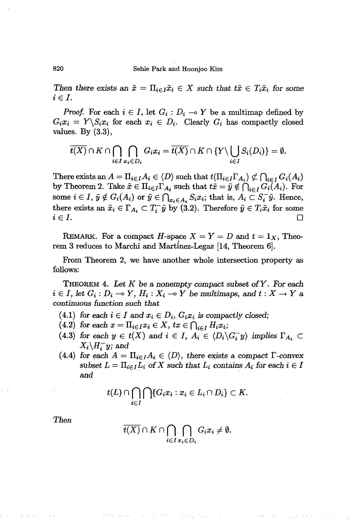820 Sehie Park and Hoonjoo Kim

*Then there exists* an  $\tilde{x} = \prod_{i \in I} \tilde{x}_i \in X$  *such that*  $t\tilde{x} \in T_i \tilde{x}_i$  *for some*  $i \in I$ .

*Proof.* For each  $i \in I$ , let  $G_i : D_i \to Y$  be a multimap defined by  $G_i x_i = Y \setminus S_i x_i$  for each  $x_i \in D_i$ . Clearly  $G_i$  has compactly closed values. By (3.3),

$$
\overline{t(X)} \cap K \cap \bigcap_{i \in I} \bigcap_{x_i \in D_i} G_i x_i = \overline{t(X)} \cap K \cap \{Y \setminus \bigcup_{i \in I} S_i(D_i)\} = \emptyset.
$$

There exists an  $A = \prod_{i \in I} A_i \in \langle D \rangle$  such that  $t(\prod_{i \in I} \Gamma_{A_i}) \nsubseteq \bigcap_{i \in I} G_i(A_i)$ by Theorem 2. Take  $\tilde{x} \in \Pi_{i \in I} \Gamma_{A_i}$  such that  $t\tilde{x} = \tilde{y} \notin \bigcap_{i \in I} G_i(A_i)$ . For some  $i \in I$ ,  $\tilde{y} \notin G_i(A_i)$  or  $\tilde{y} \in \bigcap_{x_i \in A_i} S_i x_i$ ; that is,  $A_i \subset S_i^-\tilde{y}$ . Hence, there exists an  $\tilde{x}_i \in \Gamma_{A_i} \subset T_i^-\tilde{y}$  by (3.2). Therefore  $\tilde{y} \in T_i\tilde{x}_i$  for some  $i \in I$ .

REMARK. For a compact H-space  $X = Y = D$  and  $t = 1_X$ , Theorem 3 reduces to Marchi and Martinez-Legaz [14, Theorem 6].

From Theorem 2, we have another whole intersection property as follows:

THEOREM 4. *Let K* be a *nonempty* compact *subset ofY. For each*  $i \in I$ , let  $G_i : D_i \to Y$ ,  $H_i : X_i \to Y$  be multimaps, and  $t : X \to Y$  a *continuous function such that*

- $(4.1)$  *for each*  $i \in I$  *and*  $x_i \in D_i$ ,  $G_i x_i$  *is compactly closed;*
- (4.2) for each  $x = \prod_{i \in I} x_i \in X$ ,  $tx \in \bigcap_{i \in I} H_i x_i$ ;
- (4.3) *for each*  $y \in t(X)$  *and*  $i \in I$ ,  $A_i \in \langle D_i \setminus G_i^{\perp} y \rangle$  *implies*  $\Gamma_{A_i} \subset$  $X_i \backslash H^-_i y$ ; and
- (4.4) for each  $A = \prod_{i \in I} A_i \in \langle D \rangle$ , there exists a compact  $\Gamma$ -convex  $subset L = \prod_{i \in I} L_i$  of X such that  $L_i$  contains  $A_i$  for each  $i \in I$

$$
t(L) \cap \bigcap_{i \in I} \bigcap \{ G_i x_i : x_i \in L_i \cap D_i \} \subset K.
$$

*Then*

$$
\overline{t(X)} \cap K \cap \bigcap_{i \in I} \bigcap_{x_i \in D_i} G_i x_i \neq \emptyset.
$$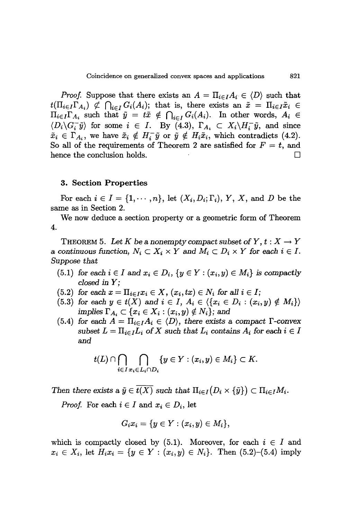*Proof.* Suppose that there exists an  $A = \prod_{i \in I} A_i \in \langle D \rangle$  such that  $t(\prod_{i\in I}\Gamma_{A_i})\nsubseteq \bigcap_{i\in I} G_i(A_i);$  that is, there exists an  $\tilde{x} = \prod_{i\in I}\tilde{x}_i \in$  $\Pi_{i\in I}\Gamma_{A_i}$  such that  $\tilde{y} = t\tilde{x} \notin \bigcap_{i\in I} G_i(A_i)$ . In other words,  $A_i \in$  $\langle D_i \backslash G_i^-\tilde{y} \rangle$  for some  $i \in I$ . By (4.3),  $\Gamma_{A_i} \subset X_i \backslash H_i^-\tilde{y}$ , and since  $\tilde{x}_i \in \Gamma_{A_i}$ , we have  $\tilde{x}_i \notin H_i^-\tilde{y}$  or  $\tilde{y} \notin H_i\tilde{x}_i$ , which contradicts (4.2). So all of the requirements of Theorem 2 are satisfied for  $F = t$ , and hence the conclusion holds.  $\Box$ 

#### 3. Section **Properties**

For each  $i \in I = \{1, \dots, n\}$ , let  $(X_i, D_i; \Gamma_i)$ , *Y*, *X*, and *D* be the same as in Section 2.

We now deduce a section property or a geometric form of Theorem 4.

THEOREM 5. Let K be a nonempty compact subset of  $Y, t: X \to Y$ a continuous function,  $N_i \subset X_i \times Y$  and  $M_i \subset D_i \times Y$  for each  $i \in I$ . *Suppose that*

- (5.1) *for each*  $i \in I$  *and*  $x_i \in D_i$ ,  $\{y \in Y : (x_i, y) \in M_i\}$  *is compactly closed* in *Y;*
- $(5.2)$  *for each*  $x = \prod_{i \in I} x_i \in X$ ,  $(x_i, tx) \in N_i$  *for all*  $i \in I$ ;
- (5.3) *for each*  $y \in t(X)$  *and*  $i \in I$ ,  $A_i \in \{ \{x_i \in D_i : (x_i, y) \notin M_i \} \}$ *implies*  $\Gamma_{A_i} \subset \{x_i \in X_i : (x_i, y) \notin N_i\}$ ; and
- (5.4) *for* each  $A = \prod_{i \in I} A_i \in \langle D \rangle$ , *there exists* a *compact*  $\Gamma$ -convex *subset*  $L = \prod_{i \in I} L_i$  of X such that  $L_i$  contains  $A_i$  for each  $i \in I$ and

$$
t(L) \cap \bigcap_{i \in I} \bigcap_{x_i \in L_i \cap D_i} \{y \in Y : (x_i, y) \in M_i\} \subset K.
$$

*Then there exists* a  $\tilde{y} \in \overline{t(X)}$  *such that*  $\Pi_{i \in I}(D_i \times {\tilde{y}}) \subset \Pi_{i \in I}M_i$ .

*Proof.* For each  $i \in I$  and  $x_i \in D_i$ , let

$$
G_ix_i=\{y\in Y:(x_i,y)\in M_i\},
$$

which is compactly closed by  $(5.1)$ . Moreover, for each  $i \in I$  and  $x_i \in X_i$ , let  $H_i x_i = \{y \in Y : (x_i, y) \in N_i\}$ . Then  $(5.2)$ – $(5.4)$  imply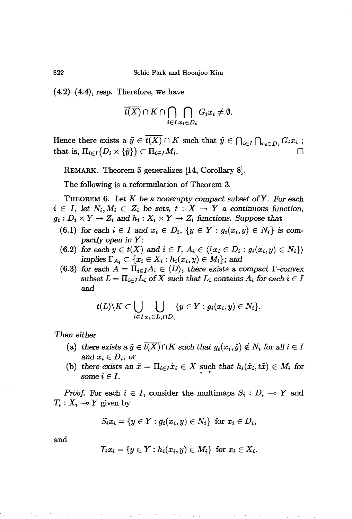$(4.2)$ - $(4.4)$ , resp. Therefore, we have

$$
\overline{t(X)} \cap K \cap \bigcap_{i \in I} \bigcap_{x_i \in D_i} G_i x_i \neq \emptyset.
$$

Hence there exists a  $\tilde{y} \in \overline{t(X)} \cap K$  such that  $\tilde{y} \in \bigcap_{i \in I} \bigcap_{x_i \in D_i} G_i x_i$ ; that is,  $\Pi_{i\in I}(D_i\times \{\tilde{y}\})\subset \Pi_{i\in I}M_i$ .

REMARK. Theorem 5 generalizes [14, Corollary 8].

The following is a reformulation of Theorem 3.

THEOREM 6. *Let K* be a *nonempty* compact subset *ofY. For* each  $i \in I$ , let  $N_i, M_i \subset Z_i$  be sets,  $t : X \to Y$  a continuous function,  $g_i: D_i \times Y \to Z_i$  and  $h_i: X_i \times Y \to Z_i$  functions. Suppose that

- *(6.1) for* each  $i \in I$  and  $x_i \in D_i$ ,  $\{y \in Y : g_i(x_i, y) \in N_i\}$  is com*pactly open in Y;*
- *(6.2) for* each  $y \in t(X)$  *and*  $i \in I$ *,*  $A_i \in \{ \{x_i \in D_i : g_i(x_i, y) \in N_i \} \}$ *implies*  $\Gamma_{A_i} \subset \{x_i \in X_i : h_i(x_i, y) \in M_i\}$ ; and
- $(6.3)$  *for each*  $A = \Pi_{i \in I} A_i \in \langle D \rangle$ *, there exists a compact*  $\Gamma$ -convex subset  $L = \prod_{i \in I} L_i$  of X such that  $L_i$  contains  $A_i$  for each  $i \in I$ and

$$
t(L)\backslash K\subset \bigcup_{i\in I}\bigcup_{x_i\in L_i\cap D_i}\{y\in Y: g_i(x_i,y)\in N_i\}.
$$

Then *either*

- (a) there exists a  $\tilde{y} \in \overline{t(X)} \cap K$  such that  $g_i(x_i, \tilde{y}) \notin N_i$  for all  $i \in I$ and  $x_i \in D_i$ ; or
- (b) there exists an  $\tilde{x} = \prod_{i \in I} \tilde{x}_i \in X$  such that  $h_i(\tilde{x}_i, t\tilde{x}) \in M_i$  for  $some\ i\in I.$

*Proof.* For each  $i \in I$ , consider the multimaps  $S_i : D_i \to Y$  and  $T_i: X_i \longrightarrow Y$  given by

$$
S_i x_i = \{ y \in Y : g_i(x_i, y) \in N_i \} \text{ for } x_i \in D_i,
$$

and

$$
T_ix_i = \{y \in Y : h_i(x_i, y) \in M_i\} \text{ for } x_i \in X_i.
$$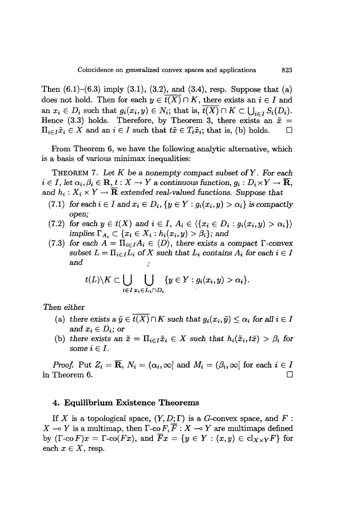Then  $(6.1)$ – $(6.3)$  imply  $(3.1)$ ,  $(3.2)$ , and  $(3.4)$ , resp. Suppose that  $(a)$ does not hold. Then for each  $y \in \overline{t(X)} \cap K$ , there exists an  $i \in I$  and an  $x_i \in D_i$  such that  $g_i(x_i, y) \in N_i$ ; that is,  $\overline{t(X)} \cap K \subset \bigcup_{i \in I} S_i(D_i)$ . Hence (3.3) holds. Therefore, by Theorem 3, there exists an  $\tilde{x} =$  $\Pi_{i \in I} \tilde{x}_i \in X$  and an  $i \in I$  such that  $t\tilde{x} \in T_i \tilde{x}_i$ ; that is, (b) holds.  $\Box$ 

From Theorem 6, we have the following analytic alternative, which is a basis of various minimax inequalities:

THEOREM 7. *Let K* be a *nonempty* compact *subset ofY. For each*  $i \in I$ , let  $\alpha_i, \beta_i \in \mathbf{R}, t : X \to Y$  a continuous function,  $g_i : D_i \times Y \to \overline{\mathbf{R}}$ , *and*  $h_i: X_i \times Y \to \overline{\mathbf{R}}$  *extended real-valued functions.* Suppose that

- (7.1) *for*  $\text{each } i \in I$  and  $x_i \in D_i$ ,  $\{y \in Y : g_i(x_i, y) > \alpha_i\}$  is *compactly open;*
- (7.2) *for* each  $y \in t(X)$  and  $i \in I$ ,  $A_i \in \{ \{x_i \in D_i : g_i(x_i, y) > \alpha_i \} \}$ *implies*  $\Gamma_{A_i} \subset \{x_i \in X_i : h_i(x_i, y) > \beta_i\}$ ; and
- (7.3) for each  $A = \prod_{i \in I} A_i \in \langle D \rangle$ , there exists a compact  $\Gamma$ -convex  $subset L = \prod_{i \in I} L_i$  of X such that  $L_i$  contains  $A_i$  for each  $i \in I$ *and*

$$
t(L)\backslash K\subset \bigcup_{i\in I}\bigcup_{x_i\in L_i\cap D_i}\{y\in Y: g_i(x_i,y)>\alpha_i\}.
$$

*Then either*

- (a) there exists a  $\tilde{y} \in t(X) \cap K$  such that  $g_i(x_i, \tilde{y}) \leq \alpha_i$  for all  $i \in I$ and  $x_i \in D_i$ ; or
- (b) there exists an  $\tilde{x} = \prod_{i \in I} \tilde{x}_i \in X$  such that  $h_i(\tilde{x}_i, t\tilde{x}) > \beta_i$  for *some*  $i \in I$ .

*Proof.* Put  $Z_i = \overline{\mathbf{R}}$ ,  $N_i = (\alpha_i, \infty]$  and  $M_i = (\beta_i, \infty]$  for each  $i \in I$ in Theorem 6.  $\Box$ 

### 4. Equilibrium Existence Theorems

If *X* is a topological space,  $(Y, D; \Gamma)$  is a *G*-convex space, and *F* :  $X \multimap Y$  is a multimap, then  $\Gamma$ -co  $F, \overline{F} : X \multimap Y$  are multimaps defined by  $(\Gamma\text{-co } F)x = \Gamma\text{-co}(Fx)$ , and  $\overline{F}x = \{y \in Y : (x, y) \in \text{cl}_{X \times Y}F\}$  for each  $x \in X$ , resp.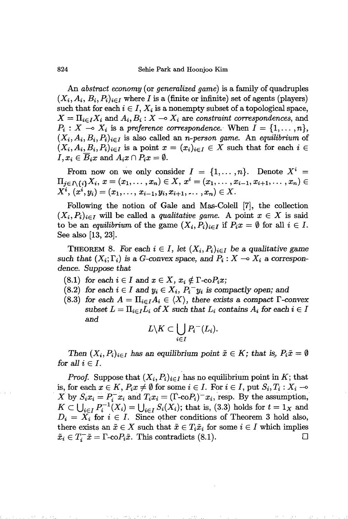An *abstract economy* (or *generalized game)* is a family of quadruples  $(X_i, A_i, B_i, P_i)_{i \in I}$  where *I* is a (finite or infinite) set of agents (players) such that for each  $i \in I$ ,  $X_i$  is a nonempty subset of a topological space,  $X = \prod_{i \in I} X_i$  and  $A_i, B_i : X \to X_i$  are *constraint correspondences*, and  $P_i: X \to X_i$  is a *preference correspondence*. When  $I = \{1, \ldots, n\}$ ,  $(X_i, A_i, B_i, P_i)_{i \in I}$  is also called an *n-person game*. An *equilibrium* of  $(X_i, A_i, B_i, P_i)_{i \in I}$  is a point  $x = (x_i)_{i \in I} \in X$  such that for each  $i \in I$  $I, x_i \in \overline{B_i}x$  and  $A_ix \cap P_ix = \emptyset$ .

From now on we only consider  $I = \{1, \ldots, n\}$ . Denote  $X^i$  $\Pi_{j\in I\setminus\{i\}}X_i, x=(x_1,\ldots,x_n)\in X, x^i=(x_1,\ldots,x_{i-1},x_{i+1},\ldots,x_n)\in$  $X^i$ ,  $(x^i, y_i) = (x_1, \ldots, x_{i-1}, y_i, x_{i+1}, \ldots, x_n) \in X$ .

Following the notion of Gale and Mas-Colell [7], the collection  $(X_i, P_i)_{i \in I}$  will be called a *qualitative game*. A point  $x \in X$  is said to be an *equilibrium* of the game  $(X_i, P_i)_{i \in I}$  if  $P_i x = \emptyset$  for all  $i \in I$ . See also [13, 23].

THEOREM 8. For each  $i \in I$ , let  $(X_i, P_i)_{i \in I}$  be a qualitative game such that  $(X_i; \Gamma_i)$  is a *G*-convex space, and  $P_i: X \to X_i$  a correspon*dence. Suppose that*

- (8.1) for each  $i \in I$  and  $x \in X$ ,  $x_i \notin \Gamma$ -co $P_ix$ ;
- (8.2) for each  $i \in I$  and  $y_i \in X_i$ ,  $P_i^- y_i$  is compactly open; and
- (8.3) for each  $A = \prod_{i \in I} A_i \in \langle X \rangle$ , there exists a compact  $\Gamma$ -convex *subset*  $L = \prod_{i \in I} L_i$  of X such that  $L_i$  contains  $A_i$  for each  $i \in I$ *and*

$$
L \backslash K \subset \bigcup_{i \in I} P_i^-(L_i).
$$

*Then*  $(X_i, P_i)_{i \in I}$  has an equilibrium point  $\tilde{x} \in K$ ; that is,  $P_i \tilde{x} = \emptyset$ for all  $i \in I$ .

*Proof.* Suppose that  $(X_i, P_i)_{i \in I}$  has no equilibrium point in *K*; that is, for each  $x \in K$ ,  $P_ix \neq \emptyset$  for some  $i \in I$ . For  $i \in I$ , put  $S_i, T_i : X_i \to$  $X$  by  $S_i x_i = P_i^- x_i$  and  $T_i x_i = (\Gamma \text{-} \text{co} P_i)^- x_i$ , resp. By the assumption,  $K \subset \bigcup_{i \in I} P_i^{-1}(X_i) = \bigcup_{i \in I} S_i(X_i)$ ; that is, (3.3) holds for  $t = 1_X$  and  $D_i = X_i$  for  $i \in I$ . Since other conditions of Theorem 3 hold also, there exists an  $\tilde{x} \in X$  such that  $\tilde{x} \in T_i \tilde{x}_i$  for some  $i \in I$  which implies  $\tilde{x}_i \in T_i^- \tilde{x} = \Gamma\text{-}\mathrm{co}P_i \tilde{x}$ . This contradicts (8.1).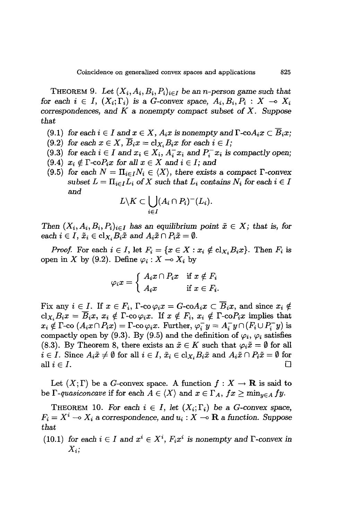THEOREM 9. Let  $(X_i, A_i, B_i, P_i)_{i \in I}$  be an *n*-person game such that *for* each  $i \in I$ ,  $(X_i; \Gamma_i)$  is a *G*-convex space,  $A_i, B_i, P_i : X \to X_i$ *correspondences,* and *K* a *nonempty compact subset* of X. *Suppose that*

- $(9.1)$  *for each*  $i \in I$  *and*  $x \in X$ *,*  $A_i x$  *is nonempty and*  $\Gamma$ -co $A_i x \subset B_i x$ ;
- $(9.2)$  *for each*  $x \in X$ ,  $\overline{B}_i x = c1_{X_i} B_i x$  *for each*  $i \in I$ ;
- $(9.3)$  *for each*  $i \in I$  *and*  $x_i \in X_i$ ,  $A_i^- x_i$  *and*  $P_i^- x_i$  *is compactly open;*
- $(9.4)$   $x_i \notin \Gamma$ -co $P_i x$  for all  $x \in X$  and  $i \in I$ ; and
- $(9.5)$  *for each*  $N = \prod_{i \in I} N_i \in \langle X \rangle$ , *there exists a compact*  $\Gamma$ -convex  $subset L = \prod_{i \in I} L_i$  of X such that  $L_i$  contains  $N_i$  for each  $i \in I$ and

$$
L\backslash K\subset \bigcup_{i\in I}(A_i\cap P_i)^-(L_i).
$$

*Then*  $(X_i, A_i, B_i, P_i)_{i \in I}$  *has an equilibrium point*  $\tilde{x} \in X$ ; *that is, for each*  $i \in I$ ,  $\tilde{x}_i \in \text{cl}_{X_i} B_i \tilde{x}$  and  $A_i \tilde{x} \cap P_i \tilde{x} = \emptyset$ .

*Proof.* For each  $i \in I$ , let  $F_i = \{x \in X : x_i \notin \text{cl}_{X_i}B_ix\}$ . Then  $F_i$  is open in X by (9.2). Define  $\varphi_i : X \to X_i$  by

$$
\varphi_i x = \left\{ \begin{array}{ll} A_i x \cap P_i x & \text{if $x \notin F_i$} \\ A_i x & \text{if $x \in F_i$.} \end{array} \right.
$$

Fix any  $i \in I$ . If  $x \in F_i$ ,  $\Gamma$ -co $\varphi_i x = G$ -co $A_i x \subset \overline{B}_i x$ , and since  $x_i \notin I$ .  $cl_{X_i}B_ix = \overline{B}_ix$ ,  $x_i \notin \Gamma$ -co $\varphi_ix$ . If  $x \notin F_i$ ,  $x_i \notin \Gamma$ -co $P_ix$  implies that  $x_i \notin \Gamma$ -co  $(A_ix \cap P_ix) = \Gamma$ -co  $\varphi_ix$ . Further,  $\varphi_i^- y = A_i^- y \cap (F_i \cup P_i^- y)$  is compactly open by (9.3). By (9.5) and the definition of  $\varphi_i$ ,  $\varphi_i$  satisfies (8.3). By Theorem 8, there exists an  $\tilde{x} \in K$  such that  $\varphi_i \tilde{x} = \emptyset$  for all  $i \in I$ . Since  $A_i \tilde{x} \neq \emptyset$  for all  $i \in I$ ,  $\tilde{x}_i \in \text{cl}_{X_i} B_i \tilde{x}$  and  $A_i \tilde{x} \cap P_i \tilde{x} = \emptyset$  for all  $i \in I$ .

Let  $(X; \Gamma)$  be a *G*-convex space. A function  $f : X \to \mathbf{R}$  is said to be  $\Gamma$ -quasiconcave if for each  $A \in \langle X \rangle$  and  $x \in \Gamma_A$ ,  $fx \geq \min_{y \in A} fy$ .

THEOREM 10. For each  $i \in I$ , let  $(X_i; \Gamma_i)$  be a *G*-convex space,  $F_i = X^i \rightarrow X_i$  a *correspondence*, and  $u_i : X \rightarrow \mathbf{R}$  a function. Suppose *that*

(10.1) *for each*  $i \in I$  *and*  $x^i \in X^i$ *,*  $F_i x^i$  *is nonempty and*  $\Gamma$ -convex *in Xi;*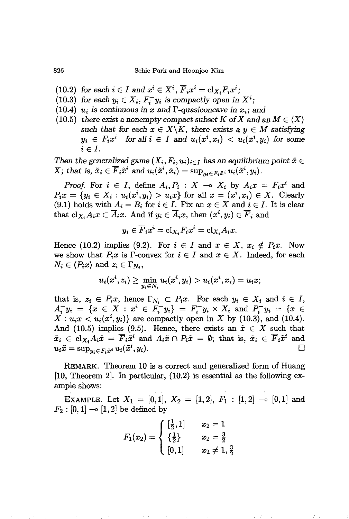- (10.2) *for each*  $i \in I$  *and*  $x^i \in X^i$ ,  $\overline{F}_i x^i = c1_{X_i} F_i x^i$ ;
- (10.3) *for each*  $y_i \in X_i$ ,  $F_i^- y_i$  *is compactly open in*  $X^i$ ;
- (10.4)  $u_i$  *is continuous in x* and  $\Gamma$ -quasiconcave *in*  $x_i$ ; and
- (10.5) *there exist a nonempty compact subset K* of *X* and an  $M \in \langle X \rangle$ such that for each  $x \in X \backslash K$ , there exists  $a, y \in M$  satisfying  $y_i \in F_i x^i$  *for all*  $i \in I$  *and*  $u_i(x^i, x_i) < u_i(x^i, y_i)$  *for some*  $i \in I$ .

*Then* the generalized game  $(X_i, F_i, u_i)_{i \in I}$  has an equilibrium point  $\tilde{x} \in$  $X$ ; that is,  $\tilde{x}_i \in \overline{F}_i \tilde{x}^i$  and  $u_i(\tilde{x}^i, \tilde{x}_i) = \sup_{y_i \in F_i \tilde{x}^i} u_i(\tilde{x}^i, y_i)$ .

*Proof.* For  $i \in I$ , define  $A_i, P_i : X \to X_i$  by  $A_i x = F_i x^i$  and  $P_i x = \{y_i \in X_i : u_i(x^i, y_i) > u_i x\}$  for all  $x = (x^i, x_i) \in X$ . Clearly (9.1) holds with  $A_i = B_i$  for  $i \in I$ . Fix an  $x \in X$  and  $i \in I$ . It is clear that  $cl_{X_i}A_ix \subset \overline{A}_ix$ . And if  $y_i \in \overline{A}_ix$ , then  $(x^i, y_i) \in \overline{F}_i$  and

$$
y_i \in \overline{F}_i x^i = \mathrm{cl}_{X_i} F_i x^i = \mathrm{cl}_{X_i} A_i x.
$$

Hence (10.2) implies (9.2). For  $i \in I$  and  $x \in X$ ,  $x_i \notin P_i x$ . Now we show that  $P_ix$  is  $\Gamma$ -convex for  $i \in I$  and  $x \in X$ . Indeed, for each  $N_i \in \langle P_i x \rangle$  and  $z_i \in \Gamma_{N_i}$ ,

$$
u_i(x^i,z_i) \geq \min_{y_i \in N_i} u_i(x^i,y_i) > u_i(x^i,x_i) = u_i x;
$$

that is,  $z_i \in P_i x$ , hence  $\Gamma_{N_i} \subset P_i x$ . For each  $y_i \in X_i$  and  $i \in I$ ,  $A_i^{\dagger} y_i = \{ x \in X : x^i \in F_i^{\dagger} y_i \} = F_i^{\dagger} y_i \times X_i \text{ and } P_i^{\dagger} y_i = \{ x \in F_i^{\dagger} y_i \}$  $X: u_i x < u_i(x^i, y_i)$  are compactly open in *X* by (10.3), and (10.4). And (10.5) implies (9.5). Hence, there exists an  $\tilde{x} \in X$  such that  $\tilde{x}_i \in \text{cl}_{X_i} A_i \tilde{x} = \overline{F}_i \tilde{x}^i \text{ and } A_i \tilde{x} \cap P_i \tilde{x} = \emptyset; \text{ that is, } \tilde{x}_i \in \overline{F}_i \tilde{x}^i \text{ and } u_i \tilde{x} = \text{sup}_{x \in F_i} \tilde{x}^i u_i (\tilde{x}^i, u_i).$  $u_i\tilde{x} = \sup_{y_i \in F_i\tilde{x}^i} u_i(\tilde{x}^i, y_i).$ 

REMARK. Theorem 10 is a correct and generalized form of Huang [10, Theorem 2]. In particular, (10.2) is essential as the following example shows:

EXAMPLE. Let  $X_1 = [0,1], X_2 = [1,2], F_1 : [1,2] \rightarrow [0,1]$  and  $F_2 : [0,1] \to [1,2]$  be defined by

$$
F_1(x_2) = \begin{cases} \left[\frac{1}{2}, 1\right] & x_2 = 1\\ \left\{\frac{1}{2}\right\} & x_2 = \frac{3}{2}\\ \left[0, 1\right] & x_2 \neq 1, \frac{3}{2} \end{cases}
$$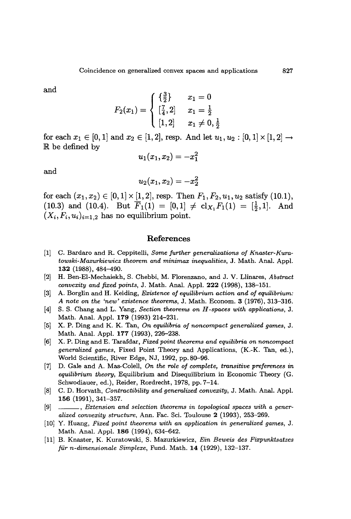and

$$
F_2(x_1) = \left\{ \begin{array}{ll} \{\frac{3}{2}\} & x_1 = 0 \\ [\frac{7}{4},2] & x_1 = \frac{1}{2} \\ [1,2] & x_1 \neq 0, \frac{1}{2} \end{array} \right.
$$

for each  $x_1 \in [0,1]$  and  $x_2 \in [1,2]$ , resp. And let  $u_1, u_2 : [0,1] \times [1,2] \rightarrow$ be defined by

$$
u_1(x_1,x_2)=-x_1^2\\
$$

and

$$
u_2(x_1,x_2)=-x_2^2\\
$$

for each  $(x_1, x_2) \in [0,1] \times [1,2]$ , resp. Then  $F_1, F_2, u_1, u_2$  satisfy (10.1), (10.3) and (10.4). But  $\overline{F}_1(1) = [0,1] \neq cl_{X_1}F_1(1) = [\frac{1}{2},1].$  And  $(X_i, F_i, u_i)_{i=1,2}$  has no equilibrium point.

#### References

- [1] C. Bardaro and R. Ceppitelli, *Some further generalizations of Knaster-Kuratowski-Mazurkiewicz theorem and minimax inequalities,* J. Math. Anal. Appl. 132 (1988), 484-490.
- [2] H. Ben-EI-Mechaiekh, S. Chebbi, M. Florenzano, and J. V. Llinares, *Abstract convexity and fixed points,* J. Math. Anal. Appl. 222 (1998), 138-151.
- [3] A. Borglin and H. Keiding, *Existence of equilibrium action and of equilibrium: A note on the 'new' existence theorems,* J. Math. Econom. 3 (1976),313-316.
- [4] S. S. Chang and L. Yang, *Section theorems on H -spaces with applications,* J. Math. Anal. Appl. 179 (1993) 214-231.
- [5] X. P. Ding and K. K. Tan, *On equilibria of noncompact generalized games,* J. Math. Anal. Appl. 177 (1993), 226-238.
- [6] X. P. Ding and E. Tarafdar, *Fixed point theorems and equilibria on noncompact generalized games,* Fixed Point Theory and Applications, (K.-K. Tan, ed.), World Scientific, River Edge, NJ, 1992, pp. SD-96.
- [7] D. Gale and A. Mas-Colell, *On the role of complete, transitive preferences in equilibrium theory,* Equilibrium and Disequilibrium in Economic Theory (G. Schwodiauer, ed.), Reider, Rordrecht, 1978, pp. 7-14.
- [S] C. D. Horvath, *Contractibility and generalized convexity,* J. Math. Anal. Appl. 156 (1991), 341-357.
- [9] , *Extension and selection theorems in topological spaces with a generalized convexity structure,* Ann. Fac. Sci. Toulouse 2 (1993), 253-269.
- [10] Y. Huang, *Fixed point theorems with an application in generalized games,* J. Math. Anal. Appl. 186 (1994), 634-642.
- [11] B. Knaster, K. Kuratowski, S. Mazurkiewicz, *Ein Beweis des Fixpunktsatzes fUr n-dimensionale Simplexe,* Fund. Math. 14 (1929), 132-137.